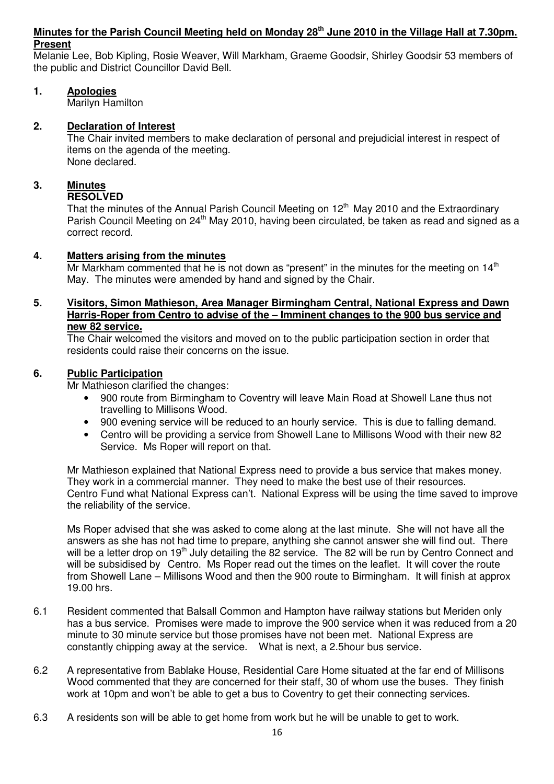## **Minutes for the Parish Council Meeting held on Monday 28th June 2010 in the Village Hall at 7.30pm. Present**

Melanie Lee, Bob Kipling, Rosie Weaver, Will Markham, Graeme Goodsir, Shirley Goodsir 53 members of the public and District Councillor David Bell.

## **1. Apologies**

Marilyn Hamilton

## **2. Declaration of Interest**

The Chair invited members to make declaration of personal and prejudicial interest in respect of items on the agenda of the meeting. None declared.

# **3. Minutes**

## **RESOLVED**

That the minutes of the Annual Parish Council Meeting on  $12<sup>th</sup>$  May 2010 and the Extraordinary Parish Council Meeting on 24<sup>th</sup> May 2010, having been circulated, be taken as read and signed as a correct record.

## **4. Matters arising from the minutes**

Mr Markham commented that he is not down as "present" in the minutes for the meeting on  $14<sup>th</sup>$ May. The minutes were amended by hand and signed by the Chair.

## **5. Visitors, Simon Mathieson, Area Manager Birmingham Central, National Express and Dawn Harris-Roper from Centro to advise of the – Imminent changes to the 900 bus service and new 82 service.**

The Chair welcomed the visitors and moved on to the public participation section in order that residents could raise their concerns on the issue.

## **6. Public Participation**

Mr Mathieson clarified the changes:

- 900 route from Birmingham to Coventry will leave Main Road at Showell Lane thus not travelling to Millisons Wood.
- 900 evening service will be reduced to an hourly service. This is due to falling demand.
- Centro will be providing a service from Showell Lane to Millisons Wood with their new 82 Service. Ms Roper will report on that.

 Mr Mathieson explained that National Express need to provide a bus service that makes money. They work in a commercial manner. They need to make the best use of their resources. Centro Fund what National Express can't. National Express will be using the time saved to improve the reliability of the service.

 Ms Roper advised that she was asked to come along at the last minute. She will not have all the answers as she has not had time to prepare, anything she cannot answer she will find out. There will be a letter drop on 19<sup>th</sup> July detailing the 82 service. The 82 will be run by Centro Connect and will be subsidised by Centro. Ms Roper read out the times on the leaflet. It will cover the route from Showell Lane – Millisons Wood and then the 900 route to Birmingham. It will finish at approx 19.00 hrs.

- 6.1 Resident commented that Balsall Common and Hampton have railway stations but Meriden only has a bus service. Promises were made to improve the 900 service when it was reduced from a 20 minute to 30 minute service but those promises have not been met. National Express are constantly chipping away at the service. What is next, a 2.5hour bus service.
- 6.2 A representative from Bablake House, Residential Care Home situated at the far end of Millisons Wood commented that they are concerned for their staff, 30 of whom use the buses. They finish work at 10pm and won't be able to get a bus to Coventry to get their connecting services.
- 6.3 A residents son will be able to get home from work but he will be unable to get to work.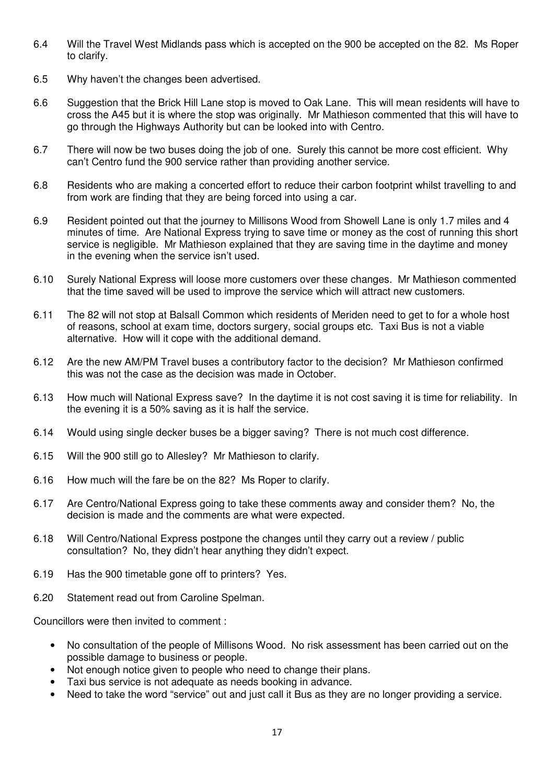- 6.4 Will the Travel West Midlands pass which is accepted on the 900 be accepted on the 82. Ms Roper to clarify.
- 6.5 Why haven't the changes been advertised.
- 6.6 Suggestion that the Brick Hill Lane stop is moved to Oak Lane. This will mean residents will have to cross the A45 but it is where the stop was originally. Mr Mathieson commented that this will have to go through the Highways Authority but can be looked into with Centro.
- 6.7 There will now be two buses doing the job of one. Surely this cannot be more cost efficient. Why can't Centro fund the 900 service rather than providing another service.
- 6.8 Residents who are making a concerted effort to reduce their carbon footprint whilst travelling to and from work are finding that they are being forced into using a car.
- 6.9 Resident pointed out that the journey to Millisons Wood from Showell Lane is only 1.7 miles and 4 minutes of time. Are National Express trying to save time or money as the cost of running this short service is negligible. Mr Mathieson explained that they are saving time in the daytime and money in the evening when the service isn't used.
- 6.10 Surely National Express will loose more customers over these changes. Mr Mathieson commented that the time saved will be used to improve the service which will attract new customers.
- 6.11 The 82 will not stop at Balsall Common which residents of Meriden need to get to for a whole host of reasons, school at exam time, doctors surgery, social groups etc. Taxi Bus is not a viable alternative. How will it cope with the additional demand.
- 6.12 Are the new AM/PM Travel buses a contributory factor to the decision? Mr Mathieson confirmed this was not the case as the decision was made in October.
- 6.13 How much will National Express save? In the daytime it is not cost saving it is time for reliability. In the evening it is a 50% saving as it is half the service.
- 6.14 Would using single decker buses be a bigger saving? There is not much cost difference.
- 6.15 Will the 900 still go to Allesley? Mr Mathieson to clarify.
- 6.16 How much will the fare be on the 82? Ms Roper to clarify.
- 6.17 Are Centro/National Express going to take these comments away and consider them? No, the decision is made and the comments are what were expected.
- 6.18 Will Centro/National Express postpone the changes until they carry out a review / public consultation? No, they didn't hear anything they didn't expect.
- 6.19 Has the 900 timetable gone off to printers? Yes.
- 6.20 Statement read out from Caroline Spelman.

Councillors were then invited to comment :

- No consultation of the people of Millisons Wood. No risk assessment has been carried out on the possible damage to business or people.
- Not enough notice given to people who need to change their plans.
- Taxi bus service is not adequate as needs booking in advance.
- Need to take the word "service" out and just call it Bus as they are no longer providing a service.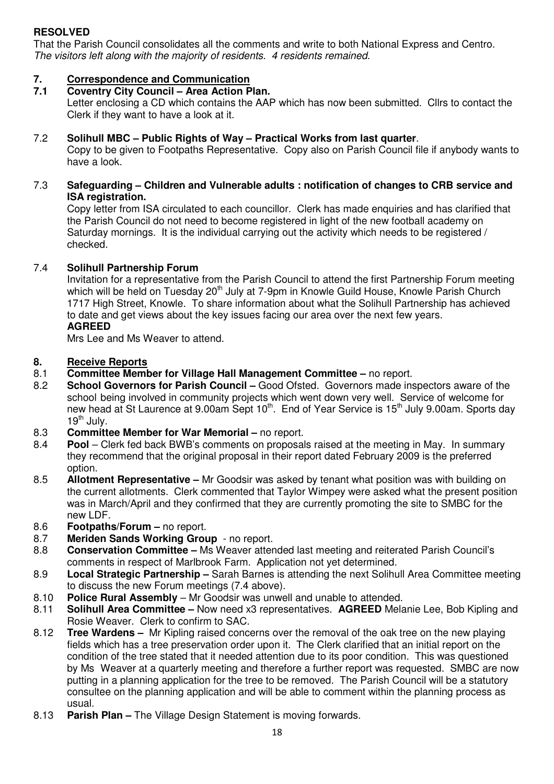# **RESOLVED**

That the Parish Council consolidates all the comments and write to both National Express and Centro. The visitors left along with the majority of residents. 4 residents remained.

# **7. Correspondence and Communication**

**7.1 Coventry City Council – Area Action Plan.** 

Letter enclosing a CD which contains the AAP which has now been submitted. Cllrs to contact the Clerk if they want to have a look at it.

## 7.2 **Solihull MBC – Public Rights of Way – Practical Works from last quarter**.

 Copy to be given to Footpaths Representative. Copy also on Parish Council file if anybody wants to have a look.

## 7.3 **Safeguarding – Children and Vulnerable adults : notification of changes to CRB service and ISA registration.**

Copy letter from ISA circulated to each councillor. Clerk has made enquiries and has clarified that the Parish Council do not need to become registered in light of the new football academy on Saturday mornings. It is the individual carrying out the activity which needs to be registered / checked.

## 7.4 **Solihull Partnership Forum**

 Invitation for a representative from the Parish Council to attend the first Partnership Forum meeting which will be held on Tuesday 20<sup>th</sup> July at 7-9pm in Knowle Guild House, Knowle Parish Church 1717 High Street, Knowle. To share information about what the Solihull Partnership has achieved to date and get views about the key issues facing our area over the next few years. **AGREED** 

Mrs Lee and Ms Weaver to attend.

# **8. Receive Reports**<br>**8.1** Committee Memb

- **Committee Member for Village Hall Management Committee no report.**
- 8.2 **School Governors for Parish Council** Good Ofsted. Governors made inspectors aware of the school being involved in community projects which went down very well. Service of welcome for new head at St Laurence at 9.00am Sept 10<sup>th</sup>. End of Year Service is 15<sup>th</sup> July 9.00am. Sports day  $19<sup>th</sup>$  July.
- 8.3 **Committee Member for War Memorial** no report.
- 8.4 **Pool** Clerk fed back BWB's comments on proposals raised at the meeting in May. In summary they recommend that the original proposal in their report dated February 2009 is the preferred option.
- 8.5 **Allotment Representative** Mr Goodsir was asked by tenant what position was with building on the current allotments. Clerk commented that Taylor Wimpey were asked what the present position was in March/April and they confirmed that they are currently promoting the site to SMBC for the new LDF.
- 8.6 **Footpaths/Forum** no report.
- 8.7 **Meriden Sands Working Group** no report.
- 8.8 **Conservation Committee** Ms Weaver attended last meeting and reiterated Parish Council's comments in respect of Marlbrook Farm. Application not yet determined.
- 8.9 **Local Strategic Partnership** Sarah Barnes is attending the next Solihull Area Committee meeting to discuss the new Forum meetings (7.4 above).
- 8.10 **Police Rural Assembly** Mr Goodsir was unwell and unable to attended.
- 8.11 **Solihull Area Committee** Now need x3 representatives. **AGREED** Melanie Lee, Bob Kipling and Rosie Weaver. Clerk to confirm to SAC.
- 8.12 **Tree Wardens** Mr Kipling raised concerns over the removal of the oak tree on the new playing fields which has a tree preservation order upon it. The Clerk clarified that an initial report on the condition of the tree stated that it needed attention due to its poor condition. This was questioned by Ms Weaver at a quarterly meeting and therefore a further report was requested. SMBC are now putting in a planning application for the tree to be removed. The Parish Council will be a statutory consultee on the planning application and will be able to comment within the planning process as usual.
- 8.13 **Parish Plan** The Village Design Statement is moving forwards.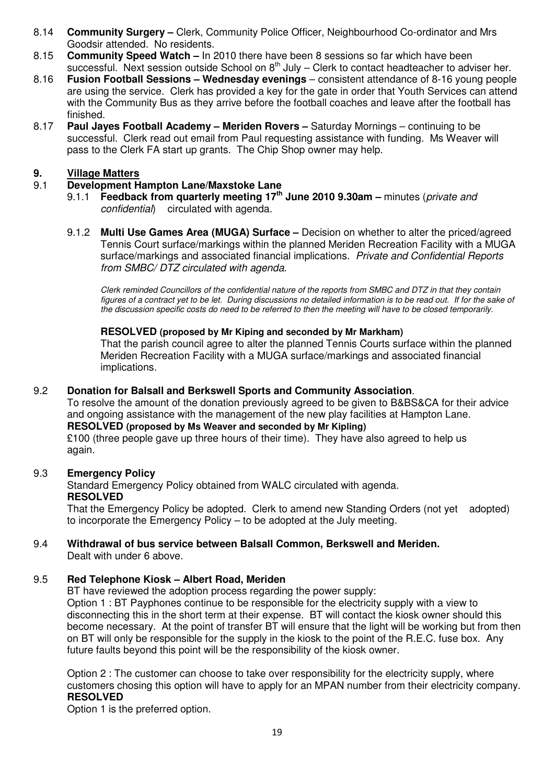- 8.14 **Community Surgery** Clerk, Community Police Officer, Neighbourhood Co-ordinator and Mrs Goodsir attended. No residents.
- 8.15 **Community Speed Watch** In 2010 there have been 8 sessions so far which have been
- successful. Next session outside School on  $8<sup>th</sup>$  July Clerk to contact headteacher to adviser her. 8.16 **Fusion Football Sessions – Wednesday evenings** – consistent attendance of 8-16 young people are using the service. Clerk has provided a key for the gate in order that Youth Services can attend with the Community Bus as they arrive before the football coaches and leave after the football has finished.
- 8.17 **Paul Jayes Football Academy Meriden Rovers** Saturday Mornings continuing to be successful. Clerk read out email from Paul requesting assistance with funding. Ms Weaver will pass to the Clerk FA start up grants. The Chip Shop owner may help.

## **9. Village Matters**

## 9.1 **Development Hampton Lane/Maxstoke Lane**

- 9.1.1 **Feedback from quarterly meeting 17th June 2010 9.30am** minutes (private and confidential) circulated with agenda.
- 9.1.2 **Multi Use Games Area (MUGA) Surface** Decision on whether to alter the priced/agreed Tennis Court surface/markings within the planned Meriden Recreation Facility with a MUGA surface/markings and associated financial implications. Private and Confidential Reports from SMBC/ DTZ circulated with agenda.

Clerk reminded Councillors of the confidential nature of the reports from SMBC and DTZ in that they contain figures of a contract yet to be let. During discussions no detailed information is to be read out. If for the sake of the discussion specific costs do need to be referred to then the meeting will have to be closed temporarily.

### **RESOLVED (proposed by Mr Kiping and seconded by Mr Markham)**

 That the parish council agree to alter the planned Tennis Courts surface within the planned Meriden Recreation Facility with a MUGA surface/markings and associated financial implications.

## 9.2 **Donation for Balsall and Berkswell Sports and Community Association**.

 To resolve the amount of the donation previously agreed to be given to B&BS&CA for their advice and ongoing assistance with the management of the new play facilities at Hampton Lane. **RESOLVED (proposed by Ms Weaver and seconded by Mr Kipling)**

£100 (three people gave up three hours of their time). They have also agreed to help us again.

## 9.3 **Emergency Policy**

Standard Emergency Policy obtained from WALC circulated with agenda. **RESOLVED** 

 That the Emergency Policy be adopted. Clerk to amend new Standing Orders (not yet adopted) to incorporate the Emergency Policy – to be adopted at the July meeting.

#### 9.4 **Withdrawal of bus service between Balsall Common, Berkswell and Meriden.**  Dealt with under 6 above.

## 9.5 **Red Telephone Kiosk – Albert Road, Meriden**

BT have reviewed the adoption process regarding the power supply:

 Option 1 : BT Payphones continue to be responsible for the electricity supply with a view to disconnecting this in the short term at their expense. BT will contact the kiosk owner should this become necessary. At the point of transfer BT will ensure that the light will be working but from then on BT will only be responsible for the supply in the kiosk to the point of the R.E.C. fuse box. Any future faults beyond this point will be the responsibility of the kiosk owner.

 Option 2 : The customer can choose to take over responsibility for the electricity supply, where customers chosing this option will have to apply for an MPAN number from their electricity company.  **RESOLVED** 

Option 1 is the preferred option.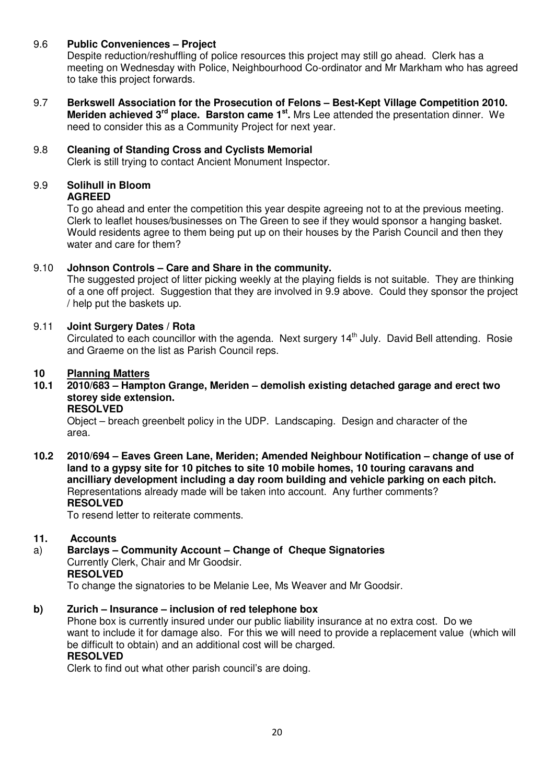## 9.6 **Public Conveniences – Project**

Despite reduction/reshuffling of police resources this project may still go ahead. Clerk has a meeting on Wednesday with Police, Neighbourhood Co-ordinator and Mr Markham who has agreed to take this project forwards.

9.7 **Berkswell Association for the Prosecution of Felons – Best-Kept Village Competition 2010. Meriden achieved 3<sup>rd</sup> place. Barston came 1<sup>st</sup>. Mrs Lee attended the presentation dinner. We** need to consider this as a Community Project for next year.

## 9.8 **Cleaning of Standing Cross and Cyclists Memorial**

Clerk is still trying to contact Ancient Monument Inspector.

#### 9.9 **Solihull in Bloom AGREED**

 To go ahead and enter the competition this year despite agreeing not to at the previous meeting. Clerk to leaflet houses/businesses on The Green to see if they would sponsor a hanging basket. Would residents agree to them being put up on their houses by the Parish Council and then they water and care for them?

## 9.10 **Johnson Controls – Care and Share in the community.**

 The suggested project of litter picking weekly at the playing fields is not suitable. They are thinking of a one off project. Suggestion that they are involved in 9.9 above. Could they sponsor the project / help put the baskets up.

## 9.11 **Joint Surgery Dates / Rota**

Circulated to each councillor with the agenda. Next surgery 14<sup>th</sup> July. David Bell attending. Rosie and Graeme on the list as Parish Council reps.

# **10 Planning Matters**

**10.1 2010/683 – Hampton Grange, Meriden – demolish existing detached garage and erect two storey side extension.** 

#### **RESOLVED**

Object – breach greenbelt policy in the UDP. Landscaping. Design and character of the area.

**10.2 2010/694 – Eaves Green Lane, Meriden; Amended Neighbour Notification – change of use of land to a gypsy site for 10 pitches to site 10 mobile homes, 10 touring caravans and ancilliary development including a day room building and vehicle parking on each pitch.**  Representations already made will be taken into account. Any further comments?  **RESOLVED** 

To resend letter to reiterate comments.

## **11. Accounts**

a) **Barclays – Community Account – Change of Cheque Signatories** Currently Clerk, Chair and Mr Goodsir. **RESOLVED** 

To change the signatories to be Melanie Lee, Ms Weaver and Mr Goodsir.

## **b) Zurich – Insurance – inclusion of red telephone box**

Phone box is currently insured under our public liability insurance at no extra cost. Do we want to include it for damage also. For this we will need to provide a replacement value (which will be difficult to obtain) and an additional cost will be charged. **RESOLVED** 

Clerk to find out what other parish council's are doing.